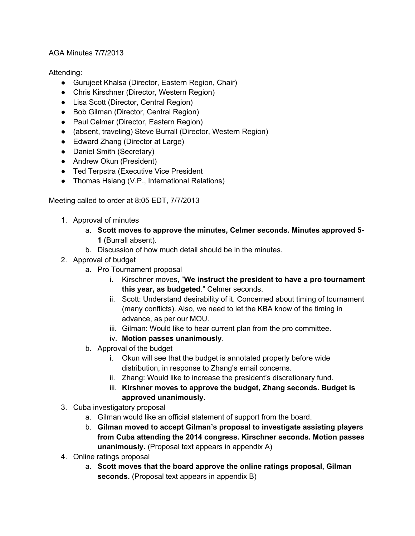# AGA Minutes 7/7/2013

# Attending:

- Gurujeet Khalsa (Director, Eastern Region, Chair)
- Chris Kirschner (Director, Western Region)
- Lisa Scott (Director, Central Region)
- Bob Gilman (Director, Central Region)
- Paul Celmer (Director, Eastern Region)
- (absent, traveling) Steve Burrall (Director, Western Region)
- Edward Zhang (Director at Large)
- Daniel Smith (Secretary)
- Andrew Okun (President)
- Ted Terpstra (Executive Vice President
- Thomas Hsiang (V.P., International Relations)

Meeting called to order at 8:05 EDT, 7/7/2013

- 1. Approval of minutes
	- a. **Scott moves to approve the minutes, Celmer seconds. Minutes approved 5- 1** (Burrall absent).
	- b. Discussion of how much detail should be in the minutes.
- 2. Approval of budget
	- a. Pro Tournament proposal
		- i. Kirschner moves, "**We instruct the president to have a pro tournament this year, as budgeted**." Celmer seconds.
		- ii. Scott: Understand desirability of it. Concerned about timing of tournament (many conflicts). Also, we need to let the KBA know of the timing in advance, as per our MOU.
		- iii. Gilman: Would like to hear current plan from the pro committee.
		- iv. **Motion passes unanimously**.
	- b. Approval of the budget
		- i. Okun will see that the budget is annotated properly before wide distribution, in response to Zhang's email concerns.
		- ii. Zhang: Would like to increase the president's discretionary fund.
		- iii. **Kirshner moves to approve the budget, Zhang seconds. Budget is approved unanimously.**
- 3. Cuba investigatory proposal
	- a. Gilman would like an official statement of support from the board.
	- b. **Gilman moved to accept Gilman's proposal to investigate assisting players from Cuba attending the 2014 congress. Kirschner seconds. Motion passes unanimously.** (Proposal text appears in appendix A)
- 4. Online ratings proposal
	- a. **Scott moves that the board approve the online ratings proposal, Gilman seconds.** (Proposal text appears in appendix B)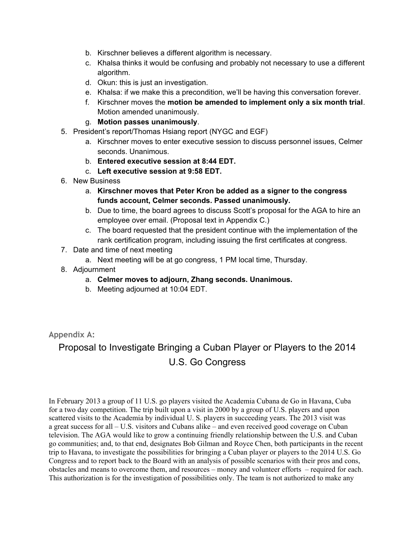- b. Kirschner believes a different algorithm is necessary.
- c. Khalsa thinks it would be confusing and probably not necessary to use a different algorithm.
- d. Okun: this is just an investigation.
- e. Khalsa: if we make this a precondition, we'll be having this conversation forever.
- f. Kirschner moves the **motion be amended to implement only a six month trial**. Motion amended unanimously.
- g. **Motion passes unanimously**.
- 5. President's report/Thomas Hsiang report (NYGC and EGF)
	- a. Kirschner moves to enter executive session to discuss personnel issues, Celmer seconds. Unanimous.
	- b. **Entered executive session at 8:44 EDT.**
	- c. **Left executive session at 9:58 EDT.**
- 6. New Business
	- a. **Kirschner moves that Peter Kron be added as a signer to the congress funds account, Celmer seconds. Passed unanimously.**
	- b. Due to time, the board agrees to discuss Scott's proposal for the AGA to hire an employee over email. (Proposal text in Appendix C.)
	- c. The board requested that the president continue with the implementation of the rank certification program, including issuing the first certificates at congress.
- 7. Date and time of next meeting
	- a. Next meeting will be at go congress, 1 PM local time, Thursday.
- 8. Adjournment
	- a. **Celmer moves to adjourn, Zhang seconds. Unanimous.**
	- b. Meeting adjourned at 10:04 EDT.

**Appendix A:**

# Proposal to Investigate Bringing a Cuban Player or Players to the 2014 U.S. Go Congress

In February 2013 a group of 11 U.S. go players visited the Academia Cubana de Go in Havana, Cuba for a two day competition. The trip built upon a visit in 2000 by a group of U.S. players and upon scattered visits to the Academia by individual U. S. players in succeeding years. The 2013 visit was a great success for all – U.S. visitors and Cubans alike – and even received good coverage on Cuban television. The AGA would like to grow a continuing friendly relationship between the U.S. and Cuban go communities; and, to that end, designates Bob Gilman and Royce Chen, both participants in the recent trip to Havana, to investigate the possibilities for bringing a Cuban player or players to the 2014 U.S. Go Congress and to report back to the Board with an analysis of possible scenarios with their pros and cons, obstacles and means to overcome them, and resources – money and volunteer efforts – required for each. This authorization is for the investigation of possibilities only. The team is not authorized to make any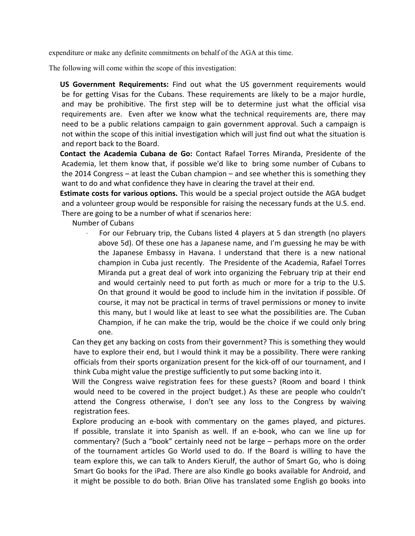expenditure or make any definite commitments on behalf of the AGA at this time.

The following will come within the scope of this investigation:

 **US Government Requirements:** Find out what the US government requirements would be for getting Visas for the Cubans. These requirements are likely to be a major hurdle, and may be prohibitive. The first step will be to determine just what the official visa requirements are. Even after we know what the technical requirements are, there may need to be a public relations campaign to gain government approval. Such a campaign is not within the scope of this initial investigation which will just find out what the situation is and report back to the Board.

 **Contact the Academia Cubana de Go:** Contact Rafael Torres Miranda, Presidente of the Academia, let them know that, if possible we'd like to bring some number of Cubans to the 2014 Congress – at least the Cuban champion – and see whether this is something they want to do and what confidence they have in clearing the travel at their end.

 **Estimate costs for various options.** This would be a special project outside the AGA budget and a volunteer group would be responsible for raising the necessary funds at the U.S. end. There are going to be a number of what if scenarios here:

Number of Cubans

· For our February trip, the Cubans listed 4 players at 5 dan strength (no players above 5d). Of these one has a Japanese name, and I'm guessing he may be with the Japanese Embassy in Havana. I understand that there is a new national champion in Cuba just recently. The Presidente of the Academia, Rafael Torres Miranda put a great deal of work into organizing the February trip at their end and would certainly need to put forth as much or more for a trip to the U.S. On that ground it would be good to include him in the invitation if possible. Of course, it may not be practical in terms of travel permissions or money to invite this many, but I would like at least to see what the possibilities are. The Cuban Champion, if he can make the trip, would be the choice if we could only bring one.

 Can they get any backing on costs from their government? This is something they would have to explore their end, but I would think it may be a possibility. There were ranking officials from their sports organization present for the kick-off of our tournament, and I think Cuba might value the prestige sufficiently to put some backing into it.

 Will the Congress waive registration fees for these guests? (Room and board I think would need to be covered in the project budget.) As these are people who couldn't attend the Congress otherwise, I don't see any loss to the Congress by waiving registration fees.

 Explore producing an e-book with commentary on the games played, and pictures. If possible, translate it into Spanish as well. If an e-book, who can we line up for commentary? (Such a "book" certainly need not be large – perhaps more on the order of the tournament articles Go World used to do. If the Board is willing to have the team explore this, we can talk to Anders Kierulf, the author of Smart Go, who is doing Smart Go books for the iPad. There are also Kindle go books available for Android, and it might be possible to do both. Brian Olive has translated some English go books into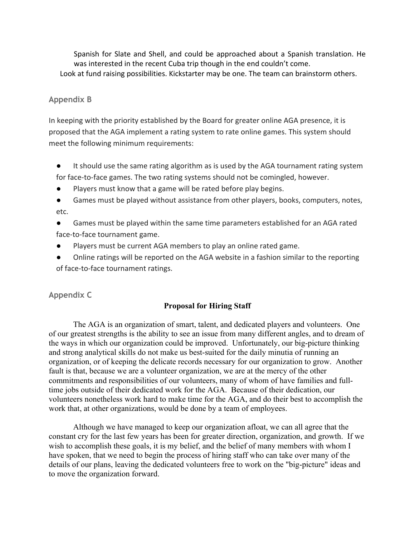Spanish for Slate and Shell, and could be approached about a Spanish translation. He was interested in the recent Cuba trip though in the end couldn't come. Look at fund raising possibilities. Kickstarter may be one. The team can brainstorm others.

### **Appendix B**

In keeping with the priority established by the Board for greater online AGA presence, it is proposed that the AGA implement a rating system to rate online games. This system should meet the following minimum requirements:

- It should use the same rating algorithm as is used by the AGA tournament rating system for face-to-face games. The two rating systems should not be comingled, however.
- Players must know that a game will be rated before play begins.
- Games must be played without assistance from other players, books, computers, notes, etc.
- Games must be played within the same time parameters established for an AGA rated face-to-face tournament game.
- Players must be current AGA members to play an online rated game.
- Online ratings will be reported on the AGA website in a fashion similar to the reporting of face-to-face tournament ratings.

# **Appendix C**

#### **Proposal for Hiring Staff**

The AGA is an organization of smart, talent, and dedicated players and volunteers. One of our greatest strengths is the ability to see an issue from many different angles, and to dream of the ways in which our organization could be improved. Unfortunately, our big-picture thinking and strong analytical skills do not make us best-suited for the daily minutia of running an organization, or of keeping the delicate records necessary for our organization to grow. Another fault is that, because we are a volunteer organization, we are at the mercy of the other commitments and responsibilities of our volunteers, many of whom of have families and fulltime jobs outside of their dedicated work for the AGA. Because of their dedication, our volunteers nonetheless work hard to make time for the AGA, and do their best to accomplish the work that, at other organizations, would be done by a team of employees.

Although we have managed to keep our organization afloat, we can all agree that the constant cry for the last few years has been for greater direction, organization, and growth. If we wish to accomplish these goals, it is my belief, and the belief of many members with whom I have spoken, that we need to begin the process of hiring staff who can take over many of the details of our plans, leaving the dedicated volunteers free to work on the "big-picture" ideas and to move the organization forward.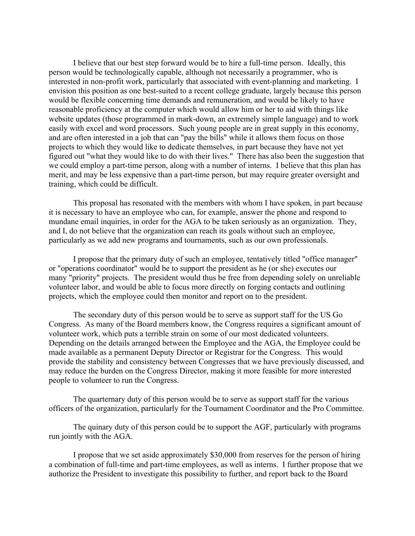I believe that our best step forward would be to hire a full-time person. Ideally, this person would be technologically capable, although not necessarily a programmer, who is interested in non-profit work, particularly that associated with event-planning and marketing. I envision this position as one best-suited to a recent college graduate, largely because this person would be flexible concerning time demands and remuneration, and would be likely to have reasonable proficiency at the computer which would allow him or her to aid with things like website updates (those programmed in mark-down, an extremely simple language) and to work easily with excel and word processors. Such young people are in great supply in this economy, and are often interested in a job that can "pay the bills" while it allows them focus on those projects to which they would like to dedicate themselves, in part because they have not yet figured out "what they would like to do with their lives." There has also been the suggestion that we could employ a part-time person, along with a number of interns. I believe that this plan has merit, and may be less expensive than a part-time person, but may require greater oversight and training, which could be difficult.

This proposal has resonated with the members with whom I have spoken, in part because it is necessary to have an employee who can, for example, answer the phone and respond to mundane email inquiries, in order for the AGA to be taken seriously as an organization. They, and I, do not believe that the organization can reach its goals without such an employee, particularly as we add new programs and tournaments, such as our own professionals.

I propose that the primary duty of such an employee, tentatively titled "office manager" or "operations coordinator" would be to support the president as he (or she) executes our many "priority" projects. The president would thus be free from depending solely on unreliable volunteer labor, and would be able to focus more directly on forging contacts and outlining projects, which the employee could then monitor and report on to the president.

The secondary duty of this person would be to serve as support staff for the US Go Congress. As many of the Board members know, the Congress requires a significant amount of volunteer work, which puts a terrible strain on some of our most dedicated volunteers. Depending on the details arranged between the Employee and the AGA, the Employee could be made available as a permanent Deputy Director or Registrar for the Congress. This would provide the stability and consistency between Congresses that we have previously discussed, and may reduce the burden on the Congress Director, making it more feasible for more interested people to volunteer to run the Congress.

The quarternary duty of this person would be to serve as support staff for the various officers of the organization, particularly for the Tournament Coordinator and the Pro Committee.

The quinary duty of this person could be to support the AGF, particularly with programs run jointly with the AGA.

I propose that we set aside approximately \$30,000 from reserves for the person of hiring a combination of full-time and part-time employees, as well as interns. I further propose that we authorize the President to investigate this possibility to further, and report back to the Board